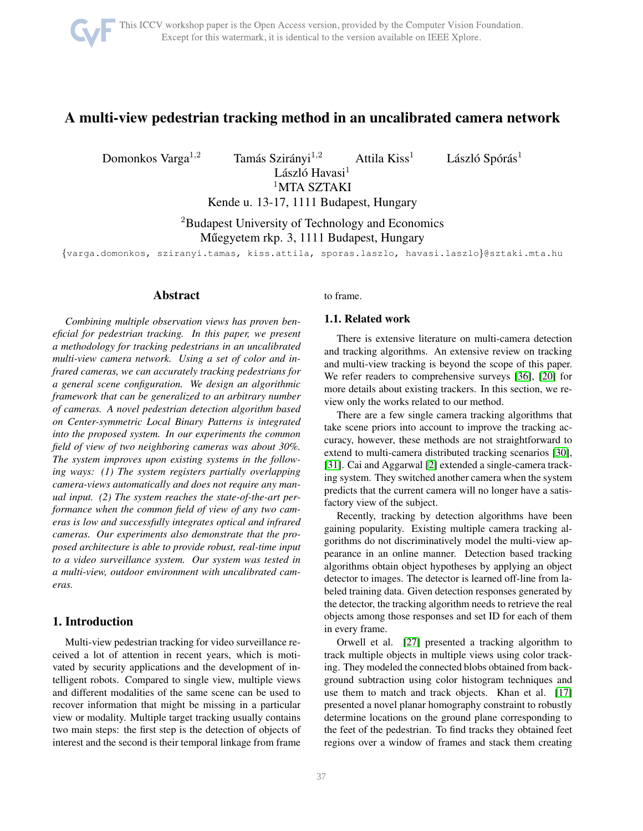

# A multi-view pedestrian tracking method in an uncalibrated camera network

Domonkos Varga<sup>1,2</sup> Tamás Szirányi<sup>1,2</sup>

<sup>1,2</sup> Attila Kiss<sup>1</sup> László Spórás<sup>1</sup>

László Havasi<sup>1</sup>

<sup>1</sup>MTA SZTAKI

Kende u. 13-17, 1111 Budapest, Hungary

<sup>2</sup>Budapest University of Technology and Economics Műegyetem rkp. 3, 1111 Budapest, Hungary

{varga.domonkos, sziranyi.tamas, kiss.attila, sporas.laszlo, havasi.laszlo}@sztaki.mta.hu

# Abstract

*Combining multiple observation views has proven beneficial for pedestrian tracking. In this paper, we present a methodology for tracking pedestrians in an uncalibrated multi-view camera network. Using a set of color and infrared cameras, we can accurately tracking pedestrians for a general scene configuration. We design an algorithmic framework that can be generalized to an arbitrary number of cameras. A novel pedestrian detection algorithm based on Center-symmetric Local Binary Patterns is integrated into the proposed system. In our experiments the common field of view of two neighboring cameras was about 30%. The system improves upon existing systems in the following ways: (1) The system registers partially overlapping camera-views automatically and does not require any manual input. (2) The system reaches the state-of-the-art performance when the common field of view of any two cameras is low and successfully integrates optical and infrared cameras. Our experiments also demonstrate that the proposed architecture is able to provide robust, real-time input to a video surveillance system. Our system was tested in a multi-view, outdoor environment with uncalibrated cameras.*

# 1. Introduction

Multi-view pedestrian tracking for video surveillance received a lot of attention in recent years, which is motivated by security applications and the development of intelligent robots. Compared to single view, multiple views and different modalities of the same scene can be used to recover information that might be missing in a particular view or modality. Multiple target tracking usually contains two main steps: the first step is the detection of objects of interest and the second is their temporal linkage from frame to frame.

### 1.1. Related work

There is extensive literature on multi-camera detection and tracking algorithms. An extensive review on tracking and multi-view tracking is beyond the scope of this paper. We refer readers to comprehensive surveys [\[36\]](#page-7-0), [\[20\]](#page-7-1) for more details about existing trackers. In this section, we review only the works related to our method.

There are a few single camera tracking algorithms that take scene priors into account to improve the tracking accuracy, however, these methods are not straightforward to extend to multi-camera distributed tracking scenarios [\[30\]](#page-7-2), [\[31\]](#page-7-3). Cai and Aggarwal [\[2\]](#page-6-0) extended a single-camera tracking system. They switched another camera when the system predicts that the current camera will no longer have a satisfactory view of the subject.

Recently, tracking by detection algorithms have been gaining popularity. Existing multiple camera tracking algorithms do not discriminatively model the multi-view appearance in an online manner. Detection based tracking algorithms obtain object hypotheses by applying an object detector to images. The detector is learned off-line from labeled training data. Given detection responses generated by the detector, the tracking algorithm needs to retrieve the real objects among those responses and set ID for each of them in every frame.

Orwell et al. [\[27\]](#page-7-4) presented a tracking algorithm to track multiple objects in multiple views using color tracking. They modeled the connected blobs obtained from background subtraction using color histogram techniques and use them to match and track objects. Khan et al. [\[17\]](#page-7-5) presented a novel planar homography constraint to robustly determine locations on the ground plane corresponding to the feet of the pedestrian. To find tracks they obtained feet regions over a window of frames and stack them creating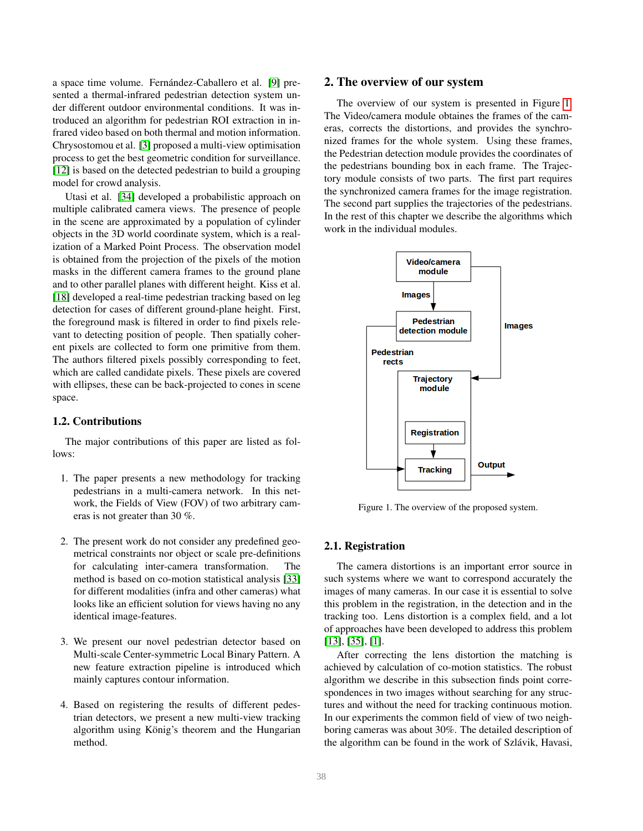a space time volume. Fernández-Caballero et al. [\[9\]](#page-7-6) presented a thermal-infrared pedestrian detection system under different outdoor environmental conditions. It was introduced an algorithm for pedestrian ROI extraction in infrared video based on both thermal and motion information. Chrysostomou et al. [\[3\]](#page-6-1) proposed a multi-view optimisation process to get the best geometric condition for surveillance. [\[12\]](#page-7-7) is based on the detected pedestrian to build a grouping model for crowd analysis.

Utasi et al. [\[34\]](#page-7-8) developed a probabilistic approach on multiple calibrated camera views. The presence of people in the scene are approximated by a population of cylinder objects in the 3D world coordinate system, which is a realization of a Marked Point Process. The observation model is obtained from the projection of the pixels of the motion masks in the different camera frames to the ground plane and to other parallel planes with different height. Kiss et al. [\[18\]](#page-7-9) developed a real-time pedestrian tracking based on leg detection for cases of different ground-plane height. First, the foreground mask is filtered in order to find pixels relevant to detecting position of people. Then spatially coherent pixels are collected to form one primitive from them. The authors filtered pixels possibly corresponding to feet, which are called candidate pixels. These pixels are covered with ellipses, these can be back-projected to cones in scene space.

# 1.2. Contributions

The major contributions of this paper are listed as follows:

- 1. The paper presents a new methodology for tracking pedestrians in a multi-camera network. In this network, the Fields of View (FOV) of two arbitrary cameras is not greater than 30 %.
- 2. The present work do not consider any predefined geometrical constraints nor object or scale pre-definitions for calculating inter-camera transformation. The method is based on co-motion statistical analysis [\[33\]](#page-7-10) for different modalities (infra and other cameras) what looks like an efficient solution for views having no any identical image-features.
- 3. We present our novel pedestrian detector based on Multi-scale Center-symmetric Local Binary Pattern. A new feature extraction pipeline is introduced which mainly captures contour information.
- 4. Based on registering the results of different pedestrian detectors, we present a new multi-view tracking algorithm using König's theorem and the Hungarian method.

### 2. The overview of our system

The overview of our system is presented in Figure [1.](#page-1-0) The Video/camera module obtaines the frames of the cameras, corrects the distortions, and provides the synchronized frames for the whole system. Using these frames, the Pedestrian detection module provides the coordinates of the pedestrians bounding box in each frame. The Trajectory module consists of two parts. The first part requires the synchronized camera frames for the image registration. The second part supplies the trajectories of the pedestrians. In the rest of this chapter we describe the algorithms which work in the individual modules.



<span id="page-1-0"></span>Figure 1. The overview of the proposed system.

### 2.1. Registration

The camera distortions is an important error source in such systems where we want to correspond accurately the images of many cameras. In our case it is essential to solve this problem in the registration, in the detection and in the tracking too. Lens distortion is a complex field, and a lot of approaches have been developed to address this problem [\[13\]](#page-7-11), [\[35\]](#page-7-12), [\[1\]](#page-6-2).

After correcting the lens distortion the matching is achieved by calculation of co-motion statistics. The robust algorithm we describe in this subsection finds point correspondences in two images without searching for any structures and without the need for tracking continuous motion. In our experiments the common field of view of two neighboring cameras was about 30%. The detailed description of the algorithm can be found in the work of Szlávik, Havasi,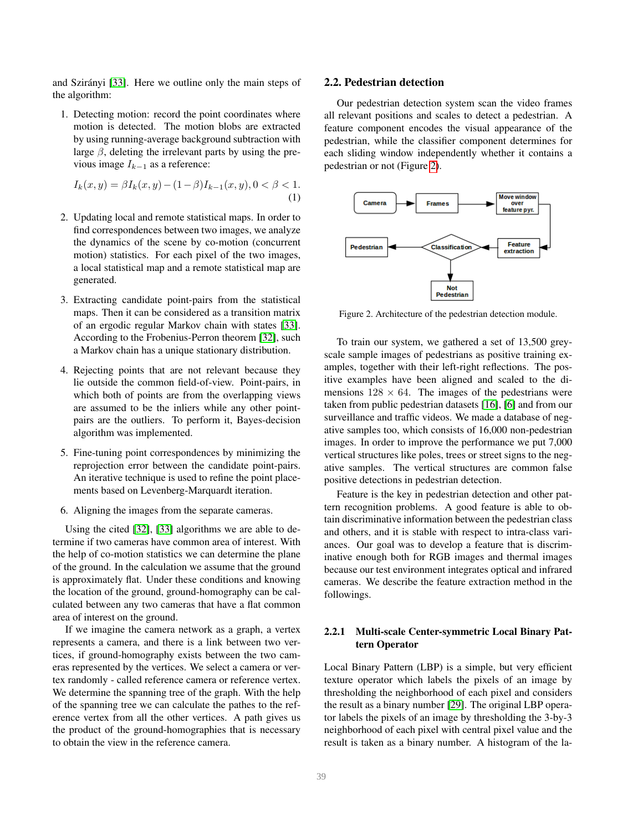and Szirányi [\[33\]](#page-7-10). Here we outline only the main steps of the algorithm:

1. Detecting motion: record the point coordinates where motion is detected. The motion blobs are extracted by using running-average background subtraction with large  $\beta$ , deleting the irrelevant parts by using the previous image  $I_{k-1}$  as a reference:

$$
I_k(x, y) = \beta I_k(x, y) - (1 - \beta)I_{k-1}(x, y), 0 < \beta < 1. \tag{1}
$$

- 2. Updating local and remote statistical maps. In order to find correspondences between two images, we analyze the dynamics of the scene by co-motion (concurrent motion) statistics. For each pixel of the two images, a local statistical map and a remote statistical map are generated.
- 3. Extracting candidate point-pairs from the statistical maps. Then it can be considered as a transition matrix of an ergodic regular Markov chain with states [\[33\]](#page-7-10). According to the Frobenius-Perron theorem [\[32\]](#page-7-13), such a Markov chain has a unique stationary distribution.
- 4. Rejecting points that are not relevant because they lie outside the common field-of-view. Point-pairs, in which both of points are from the overlapping views are assumed to be the inliers while any other pointpairs are the outliers. To perform it, Bayes-decision algorithm was implemented.
- 5. Fine-tuning point correspondences by minimizing the reprojection error between the candidate point-pairs. An iterative technique is used to refine the point placements based on Levenberg-Marquardt iteration.
- 6. Aligning the images from the separate cameras.

Using the cited [\[32\]](#page-7-13), [\[33\]](#page-7-10) algorithms we are able to determine if two cameras have common area of interest. With the help of co-motion statistics we can determine the plane of the ground. In the calculation we assume that the ground is approximately flat. Under these conditions and knowing the location of the ground, ground-homography can be calculated between any two cameras that have a flat common area of interest on the ground.

If we imagine the camera network as a graph, a vertex represents a camera, and there is a link between two vertices, if ground-homography exists between the two cameras represented by the vertices. We select a camera or vertex randomly - called reference camera or reference vertex. We determine the spanning tree of the graph. With the help of the spanning tree we can calculate the pathes to the reference vertex from all the other vertices. A path gives us the product of the ground-homographies that is necessary to obtain the view in the reference camera.

#### 2.2. Pedestrian detection

Our pedestrian detection system scan the video frames all relevant positions and scales to detect a pedestrian. A feature component encodes the visual appearance of the pedestrian, while the classifier component determines for each sliding window independently whether it contains a pedestrian or not (Figure [2\)](#page-2-0).



<span id="page-2-0"></span>Figure 2. Architecture of the pedestrian detection module.

To train our system, we gathered a set of 13,500 greyscale sample images of pedestrians as positive training examples, together with their left-right reflections. The positive examples have been aligned and scaled to the dimensions  $128 \times 64$ . The images of the pedestrians were taken from public pedestrian datasets [\[16\]](#page-7-14), [\[6\]](#page-6-3) and from our surveillance and traffic videos. We made a database of negative samples too, which consists of 16,000 non-pedestrian images. In order to improve the performance we put 7,000 vertical structures like poles, trees or street signs to the negative samples. The vertical structures are common false positive detections in pedestrian detection.

Feature is the key in pedestrian detection and other pattern recognition problems. A good feature is able to obtain discriminative information between the pedestrian class and others, and it is stable with respect to intra-class variances. Our goal was to develop a feature that is discriminative enough both for RGB images and thermal images because our test environment integrates optical and infrared cameras. We describe the feature extraction method in the followings.

# 2.2.1 Multi-scale Center-symmetric Local Binary Pattern Operator

Local Binary Pattern (LBP) is a simple, but very efficient texture operator which labels the pixels of an image by thresholding the neighborhood of each pixel and considers the result as a binary number [\[29\]](#page-7-15). The original LBP operator labels the pixels of an image by thresholding the 3-by-3 neighborhood of each pixel with central pixel value and the result is taken as a binary number. A histogram of the la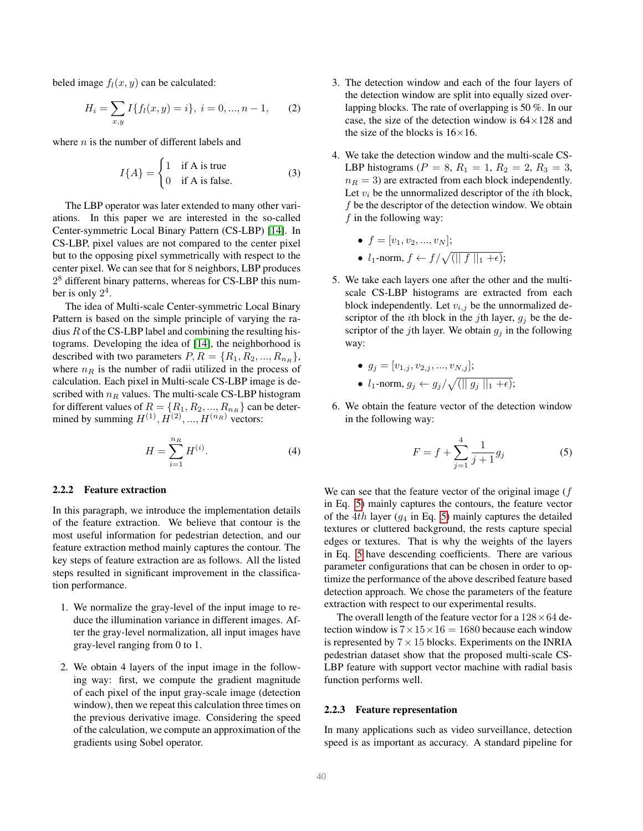beled image  $f_l(x, y)$  can be calculated:

$$
H_i = \sum_{x,y} I\{f_l(x,y) = i\}, \ i = 0, ..., n-1, \qquad (2)
$$

where  $n$  is the number of different labels and

$$
I{A} = \begin{cases} 1 & \text{if A is true} \\ 0 & \text{if A is false.} \end{cases}
$$
 (3)

The LBP operator was later extended to many other variations. In this paper we are interested in the so-called Center-symmetric Local Binary Pattern (CS-LBP) [\[14\]](#page-7-16). In CS-LBP, pixel values are not compared to the center pixel but to the opposing pixel symmetrically with respect to the center pixel. We can see that for 8 neighbors, LBP produces 2 <sup>8</sup> different binary patterns, whereas for CS-LBP this number is only  $2^4$ .

The idea of Multi-scale Center-symmetric Local Binary Pattern is based on the simple principle of varying the radius  $R$  of the CS-LBP label and combining the resulting histograms. Developing the idea of [\[14\]](#page-7-16), the neighborhood is described with two parameters  $P, R = \{R_1, R_2, ..., R_{n_R}\},\$ where  $n_R$  is the number of radii utilized in the process of calculation. Each pixel in Multi-scale CS-LBP image is described with  $n_R$  values. The multi-scale CS-LBP histogram for different values of  $R = \{R_1, R_2, ..., R_{n_R}\}\)$  can be determined by summing  $H^{(1)}$ ,  $H^{(2)}$ , ...,  $H^{(n_R)}$  vectors:

$$
H = \sum_{i=1}^{n_R} H^{(i)}.
$$
 (4)

### 2.2.2 Feature extraction

In this paragraph, we introduce the implementation details of the feature extraction. We believe that contour is the most useful information for pedestrian detection, and our feature extraction method mainly captures the contour. The key steps of feature extraction are as follows. All the listed steps resulted in significant improvement in the classification performance.

- 1. We normalize the gray-level of the input image to reduce the illumination variance in different images. After the gray-level normalization, all input images have gray-level ranging from 0 to 1.
- 2. We obtain 4 layers of the input image in the following way: first, we compute the gradient magnitude of each pixel of the input gray-scale image (detection window), then we repeat this calculation three times on the previous derivative image. Considering the speed of the calculation, we compute an approximation of the gradients using Sobel operator.
- 3. The detection window and each of the four layers of the detection window are split into equally sized overlapping blocks. The rate of overlapping is 50 %. In our case, the size of the detection window is  $64 \times 128$  and the size of the blocks is  $16\times16$ .
- 4. We take the detection window and the multi-scale CS-LBP histograms ( $P = 8$ ,  $R_1 = 1$ ,  $R_2 = 2$ ,  $R_3 = 3$ ,  $n<sub>R</sub> = 3$ ) are extracted from each block independently. Let  $v_i$  be the unnormalized descriptor of the *i*th block, f be the descriptor of the detection window. We obtain  $f$  in the following way:

• 
$$
f = [v_1, v_2, ..., v_N];
$$

• 
$$
l_1
$$
-norm,  $f \leftarrow f/\sqrt{(||f||_1 + \epsilon)}$ ;

5. We take each layers one after the other and the multiscale CS-LBP histograms are extracted from each block independently. Let  $v_{i,j}$  be the unnormalized descriptor of the *i*th block in the *j*th layer,  $g_i$  be the descriptor of the *j*th layer. We obtain  $g_i$  in the following way:

• 
$$
g_j = [v_{1,j}, v_{2,j}, ..., v_{N,j}];
$$

- $l_1$ -norm,  $g_j \leftarrow g_j/\sqrt{(\|g_j\|_1 + \epsilon)}$ ;
- 6. We obtain the feature vector of the detection window in the following way:

<span id="page-3-0"></span>
$$
F = f + \sum_{j=1}^{4} \frac{1}{j+1} g_j
$$
 (5)

We can see that the feature vector of the original image (*f* in Eq. [5\)](#page-3-0) mainly captures the contours, the feature vector of the 4th layer  $(g_4$  in Eq. [5\)](#page-3-0) mainly captures the detailed textures or cluttered background, the rests capture special edges or textures. That is why the weights of the layers in Eq. [5](#page-3-0) have descending coefficients. There are various parameter configurations that can be chosen in order to optimize the performance of the above described feature based detection approach. We chose the parameters of the feature extraction with respect to our experimental results.

The overall length of the feature vector for a  $128 \times 64$  detection window is  $7 \times 15 \times 16 = 1680$  because each window is represented by  $7 \times 15$  blocks. Experiments on the INRIA pedestrian dataset show that the proposed multi-scale CS-LBP feature with support vector machine with radial basis function performs well.

#### 2.2.3 Feature representation

In many applications such as video surveillance, detection speed is as important as accuracy. A standard pipeline for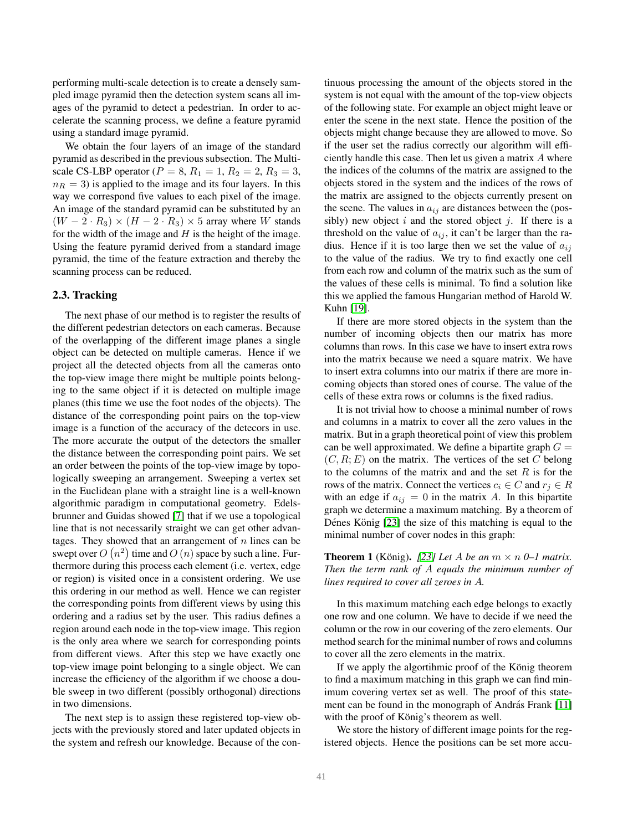performing multi-scale detection is to create a densely sampled image pyramid then the detection system scans all images of the pyramid to detect a pedestrian. In order to accelerate the scanning process, we define a feature pyramid using a standard image pyramid.

We obtain the four layers of an image of the standard pyramid as described in the previous subsection. The Multiscale CS-LBP operator ( $P = 8$ ,  $R_1 = 1$ ,  $R_2 = 2$ ,  $R_3 = 3$ ,  $n_R = 3$ ) is applied to the image and its four layers. In this way we correspond five values to each pixel of the image. An image of the standard pyramid can be substituted by an  $(W - 2 \cdot R_3) \times (H - 2 \cdot R_3) \times 5$  array where W stands for the width of the image and  $H$  is the height of the image. Using the feature pyramid derived from a standard image pyramid, the time of the feature extraction and thereby the scanning process can be reduced.

### 2.3. Tracking

The next phase of our method is to register the results of the different pedestrian detectors on each cameras. Because of the overlapping of the different image planes a single object can be detected on multiple cameras. Hence if we project all the detected objects from all the cameras onto the top-view image there might be multiple points belonging to the same object if it is detected on multiple image planes (this time we use the foot nodes of the objects). The distance of the corresponding point pairs on the top-view image is a function of the accuracy of the detecors in use. The more accurate the output of the detectors the smaller the distance between the corresponding point pairs. We set an order between the points of the top-view image by topologically sweeping an arrangement. Sweeping a vertex set in the Euclidean plane with a straight line is a well-known algorithmic paradigm in computational geometry. Edelsbrunner and Guidas showed [\[7\]](#page-6-4) that if we use a topological line that is not necessarily straight we can get other advantages. They showed that an arrangement of  $n$  lines can be swept over  $O(n^2)$  time and  $O(n)$  space by such a line. Furthermore during this process each element (i.e. vertex, edge or region) is visited once in a consistent ordering. We use this ordering in our method as well. Hence we can register the corresponding points from different views by using this ordering and a radius set by the user. This radius defines a region around each node in the top-view image. This region is the only area where we search for corresponding points from different views. After this step we have exactly one top-view image point belonging to a single object. We can increase the efficiency of the algorithm if we choose a double sweep in two different (possibly orthogonal) directions in two dimensions.

The next step is to assign these registered top-view objects with the previously stored and later updated objects in the system and refresh our knowledge. Because of the continuous processing the amount of the objects stored in the system is not equal with the amount of the top-view objects of the following state. For example an object might leave or enter the scene in the next state. Hence the position of the objects might change because they are allowed to move. So if the user set the radius correctly our algorithm will efficiently handle this case. Then let us given a matrix A where the indices of the columns of the matrix are assigned to the objects stored in the system and the indices of the rows of the matrix are assigned to the objects currently present on the scene. The values in  $a_{ij}$  are distances between the (possibly) new object i and the stored object j. If there is a threshold on the value of  $a_{ij}$ , it can't be larger than the radius. Hence if it is too large then we set the value of  $a_{ij}$ to the value of the radius. We try to find exactly one cell from each row and column of the matrix such as the sum of the values of these cells is minimal. To find a solution like this we applied the famous Hungarian method of Harold W. Kuhn [\[19\]](#page-7-17).

If there are more stored objects in the system than the number of incoming objects then our matrix has more columns than rows. In this case we have to insert extra rows into the matrix because we need a square matrix. We have to insert extra columns into our matrix if there are more incoming objects than stored ones of course. The value of the cells of these extra rows or columns is the fixed radius.

It is not trivial how to choose a minimal number of rows and columns in a matrix to cover all the zero values in the matrix. But in a graph theoretical point of view this problem can be well approximated. We define a bipartite graph  $G =$  $(C, R; E)$  on the matrix. The vertices of the set C belong to the columns of the matrix and and the set  $R$  is for the rows of the matrix. Connect the vertices  $c_i \in C$  and  $r_j \in R$ with an edge if  $a_{ij} = 0$  in the matrix A. In this bipartite graph we determine a maximum matching. By a theorem of Dénes König [\[23\]](#page-7-18) the size of this matching is equal to the minimal number of cover nodes in this graph:

**Theorem 1** (König). [\[23\]](#page-7-18) Let A be an  $m \times n$  0–1 matrix. *Then the term rank of* A *equals the minimum number of lines required to cover all zeroes in* A*.*

In this maximum matching each edge belongs to exactly one row and one column. We have to decide if we need the column or the row in our covering of the zero elements. Our method search for the minimal number of rows and columns to cover all the zero elements in the matrix.

If we apply the algortihmic proof of the König theorem to find a maximum matching in this graph we can find minimum covering vertex set as well. The proof of this state-ment can be found in the monograph of András Frank [\[11\]](#page-7-19) with the proof of König's theorem as well.

We store the history of different image points for the registered objects. Hence the positions can be set more accu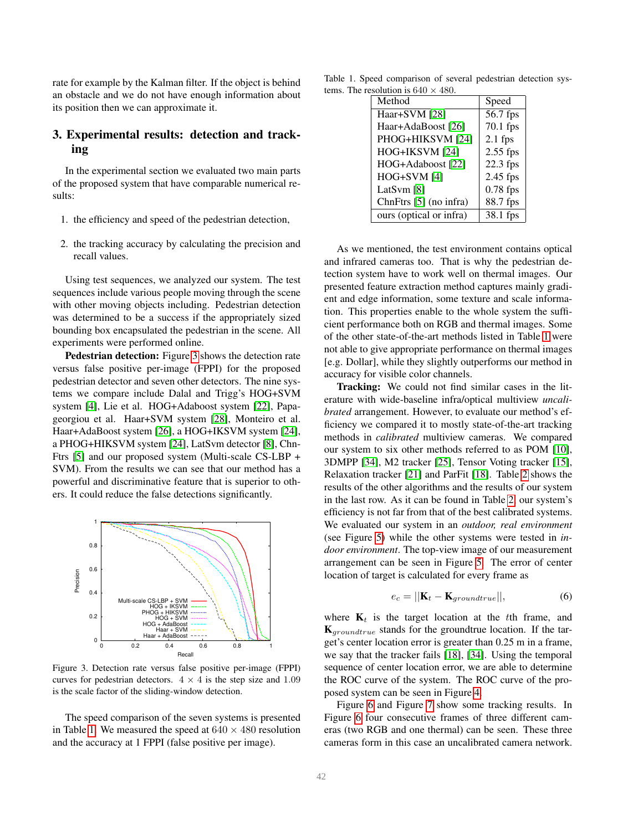rate for example by the Kalman filter. If the object is behind an obstacle and we do not have enough information about its position then we can approximate it.

# 3. Experimental results: detection and tracking

In the experimental section we evaluated two main parts of the proposed system that have comparable numerical results:

- 1. the efficiency and speed of the pedestrian detection,
- 2. the tracking accuracy by calculating the precision and recall values.

Using test sequences, we analyzed our system. The test sequences include various people moving through the scene with other moving objects including. Pedestrian detection was determined to be a success if the appropriately sized bounding box encapsulated the pedestrian in the scene. All experiments were performed online.

Pedestrian detection: Figure [3](#page-5-0) shows the detection rate versus false positive per-image (FPPI) for the proposed pedestrian detector and seven other detectors. The nine systems we compare include Dalal and Trigg's HOG+SVM system [\[4\]](#page-6-5), Lie et al. HOG+Adaboost system [\[22\]](#page-7-20), Papageorgiou et al. Haar+SVM system [\[28\]](#page-7-21), Monteiro et al. Haar+AdaBoost system [\[26\]](#page-7-22), a HOG+IKSVM system [\[24\]](#page-7-23), a PHOG+HIKSVM system [\[24\]](#page-7-23), LatSvm detector [\[8\]](#page-6-6), Chn-Ftrs [\[5\]](#page-6-7) and our proposed system (Multi-scale CS-LBP + SVM). From the results we can see that our method has a powerful and discriminative feature that is superior to others. It could reduce the false detections significantly.



<span id="page-5-0"></span>Figure 3. Detection rate versus false positive per-image (FPPI) curves for pedestrian detectors.  $4 \times 4$  is the step size and 1.09 is the scale factor of the sliding-window detection.

The speed comparison of the seven systems is presented in Table [1.](#page-5-1) We measured the speed at  $640 \times 480$  resolution and the accuracy at 1 FPPI (false positive per image).

Table 1. Speed comparison of several pedestrian detection systems. The resolution is  $640 \times 480$ .

<span id="page-5-1"></span>

| Method                  | Speed                 |  |
|-------------------------|-----------------------|--|
| Haar+SVM [28]           | $\overline{56.7}$ fps |  |
| Haar+AdaBoost [26]      | 70.1 fps              |  |
| PHOG+HIKSVM [24]        | $2.1$ fps             |  |
| HOG+IKSVM [24]          | $2.55$ fps            |  |
| HOG+Adaboost [22]       | 22.3 fps              |  |
| HOG+SVM [4]             | 2.45 fps              |  |
| LatSvm $[8]$            | $0.78$ fps            |  |
| ChnFtrs [5] (no infra)  | 88.7 fps              |  |
| ours (optical or infra) | 38.1 fps              |  |

As we mentioned, the test environment contains optical and infrared cameras too. That is why the pedestrian detection system have to work well on thermal images. Our presented feature extraction method captures mainly gradient and edge information, some texture and scale information. This properties enable to the whole system the sufficient performance both on RGB and thermal images. Some of the other state-of-the-art methods listed in Table [1](#page-5-1) were not able to give appropriate performance on thermal images [e.g. Dollar], while they slightly outperforms our method in accuracy for visible color channels.

Tracking: We could not find similar cases in the literature with wide-baseline infra/optical multiview *uncalibrated* arrangement. However, to evaluate our method's efficiency we compared it to mostly state-of-the-art tracking methods in *calibrated* multiview cameras. We compared our system to six other methods referred to as POM [\[10\]](#page-7-24), 3DMPP [\[34\]](#page-7-8), M2 tracker [\[25\]](#page-7-25), Tensor Voting tracker [\[15\]](#page-7-26), Relaxation tracker [\[21\]](#page-7-27) and ParFit [\[18\]](#page-7-9). Table [2](#page-6-8) shows the results of the other algorithms and the results of our system in the last row. As it can be found in Table [2,](#page-6-8) our system's efficiency is not far from that of the best calibrated systems. We evaluated our system in an *outdoor, real environment* (see Figure [5\)](#page-6-9) while the other systems were tested in *indoor environment*. The top-view image of our measurement arrangement can be seen in Figure [5.](#page-6-9) The error of center location of target is calculated for every frame as

$$
e_c = ||\mathbf{K}_t - \mathbf{K}_{groundtrue}||, \tag{6}
$$

where  $\mathbf{K}_t$  is the target location at the tth frame, and  ${\bf K}_{ground true}$  stands for the groundtrue location. If the target's center location error is greater than 0.25 m in a frame, we say that the tracker fails [\[18\]](#page-7-9), [\[34\]](#page-7-8). Using the temporal sequence of center location error, we are able to determine the ROC curve of the system. The ROC curve of the proposed system can be seen in Figure [4.](#page-6-10)

Figure [6](#page-6-11) and Figure [7](#page-6-12) show some tracking results. In Figure [6](#page-6-11) four consecutive frames of three different cameras (two RGB and one thermal) can be seen. These three cameras form in this case an uncalibrated camera network.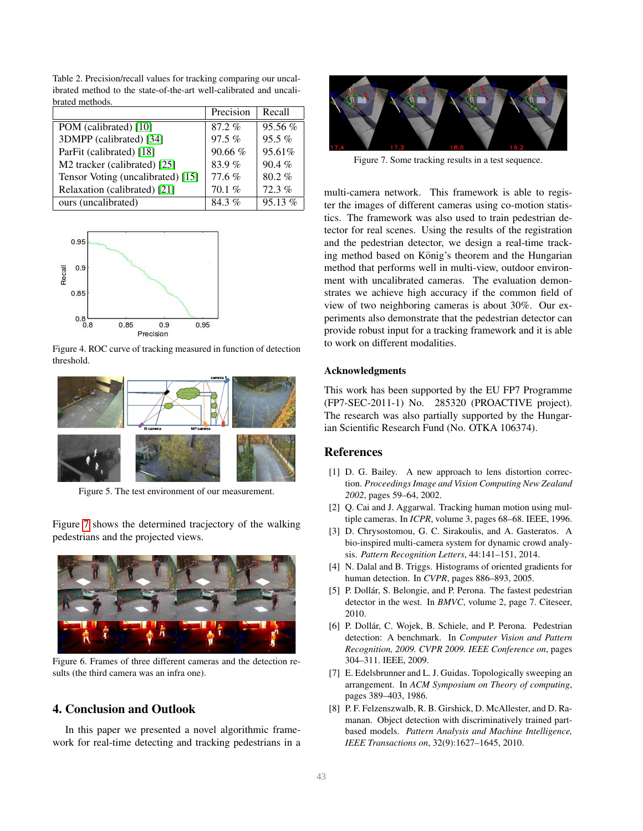<span id="page-6-8"></span>Table 2. Precision/recall values for tracking comparing our uncalibrated method to the state-of-the-art well-calibrated and uncalibrated methods.

|                                          | Precision | Recall    |
|------------------------------------------|-----------|-----------|
| POM (calibrated) [10]                    | $87.2\%$  | 95.56 %   |
| 3DMPP (calibrated) [34]                  | 97.5%     | 95.5%     |
| ParFit (calibrated) [18]                 | 90.66%    | 95.61%    |
| M <sub>2</sub> tracker (calibrated) [25] | 83.9%     | 90.4%     |
| Tensor Voting (uncalibrated) [15]        | 77.6%     | $80.2 \%$ |
| Relaxation (calibrated) [21]             | 70.1%     | 72.3%     |
| ours (uncalibrated)                      | $84.3\%$  | 95.13%    |



<span id="page-6-10"></span>Figure 4. ROC curve of tracking measured in function of detection threshold.



Figure 5. The test environment of our measurement.

<span id="page-6-9"></span>Figure [7](#page-6-12) shows the determined tracjectory of the walking pedestrians and the projected views.



Figure 6. Frames of three different cameras and the detection results (the third camera was an infra one).

# <span id="page-6-11"></span>4. Conclusion and Outlook

In this paper we presented a novel algorithmic framework for real-time detecting and tracking pedestrians in a



Figure 7. Some tracking results in a test sequence.

<span id="page-6-12"></span>multi-camera network. This framework is able to register the images of different cameras using co-motion statistics. The framework was also used to train pedestrian detector for real scenes. Using the results of the registration and the pedestrian detector, we design a real-time tracking method based on König's theorem and the Hungarian method that performs well in multi-view, outdoor environment with uncalibrated cameras. The evaluation demonstrates we achieve high accuracy if the common field of view of two neighboring cameras is about 30%. Our experiments also demonstrate that the pedestrian detector can provide robust input for a tracking framework and it is able to work on different modalities.

### Acknowledgments

This work has been supported by the EU FP7 Programme (FP7-SEC-2011-1) No. 285320 (PROACTIVE project). The research was also partially supported by the Hungarian Scientific Research Fund (No. OTKA 106374).

# **References**

- <span id="page-6-2"></span>[1] D. G. Bailey. A new approach to lens distortion correction. *Proceedings Image and Vision Computing New Zealand 2002*, pages 59–64, 2002.
- <span id="page-6-0"></span>[2] Q. Cai and J. Aggarwal. Tracking human motion using multiple cameras. In *ICPR*, volume 3, pages 68–68. IEEE, 1996.
- <span id="page-6-1"></span>[3] D. Chrysostomou, G. C. Sirakoulis, and A. Gasteratos. A bio-inspired multi-camera system for dynamic crowd analysis. *Pattern Recognition Letters*, 44:141–151, 2014.
- <span id="page-6-5"></span>[4] N. Dalal and B. Triggs. Histograms of oriented gradients for human detection. In *CVPR*, pages 886–893, 2005.
- <span id="page-6-7"></span>[5] P. Dollár, S. Belongie, and P. Perona. The fastest pedestrian detector in the west. In *BMVC*, volume 2, page 7. Citeseer, 2010.
- <span id="page-6-3"></span>[6] P. Dollár, C. Wojek, B. Schiele, and P. Perona. Pedestrian detection: A benchmark. In *Computer Vision and Pattern Recognition, 2009. CVPR 2009. IEEE Conference on*, pages 304–311. IEEE, 2009.
- <span id="page-6-4"></span>[7] E. Edelsbrunner and L. J. Guidas. Topologically sweeping an arrangement. In *ACM Symposium on Theory of computing*, pages 389–403, 1986.
- <span id="page-6-6"></span>[8] P. F. Felzenszwalb, R. B. Girshick, D. McAllester, and D. Ramanan. Object detection with discriminatively trained partbased models. *Pattern Analysis and Machine Intelligence, IEEE Transactions on*, 32(9):1627–1645, 2010.